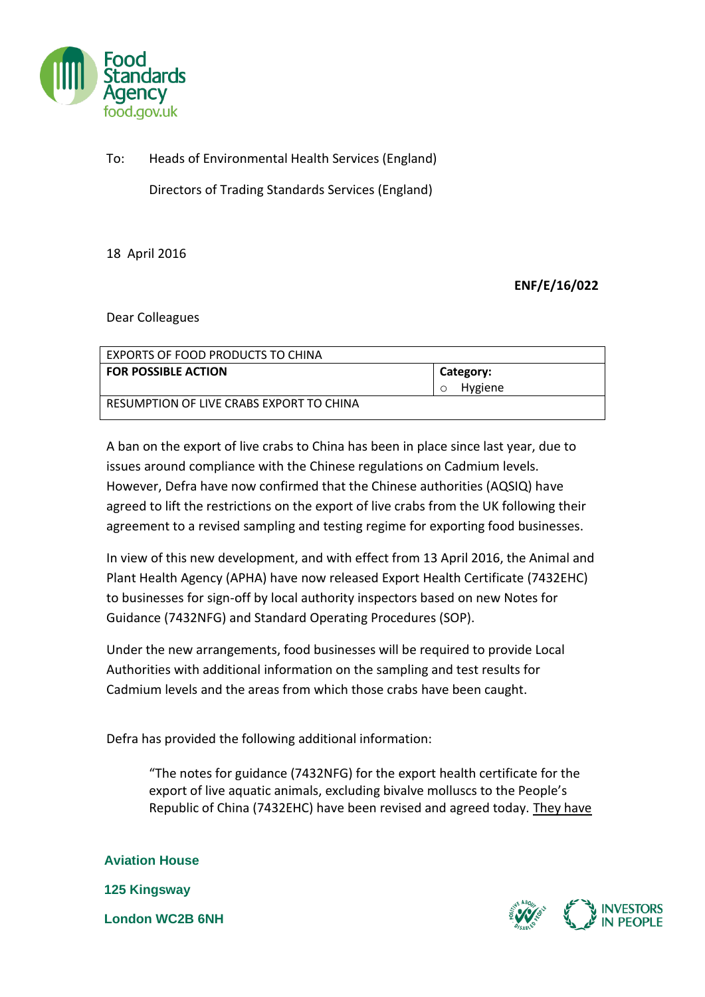

## To: Heads of Environmental Health Services (England)

Directors of Trading Standards Services (England)

18 April 2016

## **ENF/E/16/022**

## Dear Colleagues

| EXPORTS OF FOOD PRODUCTS TO CHINA        |                                 |
|------------------------------------------|---------------------------------|
| <b>FOR POSSIBLE ACTION</b>               | Category:<br>Hygiene<br>$\circ$ |
| RESUMPTION OF LIVE CRABS EXPORT TO CHINA |                                 |

A ban on the export of live crabs to China has been in place since last year, due to issues around compliance with the Chinese regulations on Cadmium levels. However, Defra have now confirmed that the Chinese authorities (AQSIQ) have agreed to lift the restrictions on the export of live crabs from the UK following their agreement to a revised sampling and testing regime for exporting food businesses.

In view of this new development, and with effect from 13 April 2016, the Animal and Plant Health Agency (APHA) have now released Export Health Certificate (7432EHC) to businesses for sign-off by local authority inspectors based on new Notes for Guidance (7432NFG) and Standard Operating Procedures (SOP).

Under the new arrangements, food businesses will be required to provide Local Authorities with additional information on the sampling and test results for Cadmium levels and the areas from which those crabs have been caught.

Defra has provided the following additional information:

"The notes for guidance (7432NFG) for the export health certificate for the export of live aquatic animals, excluding bivalve molluscs to the People's Republic of China (7432EHC) have been revised and agreed today. They have

**Aviation House 125 Kingsway London WC2B 6NH**

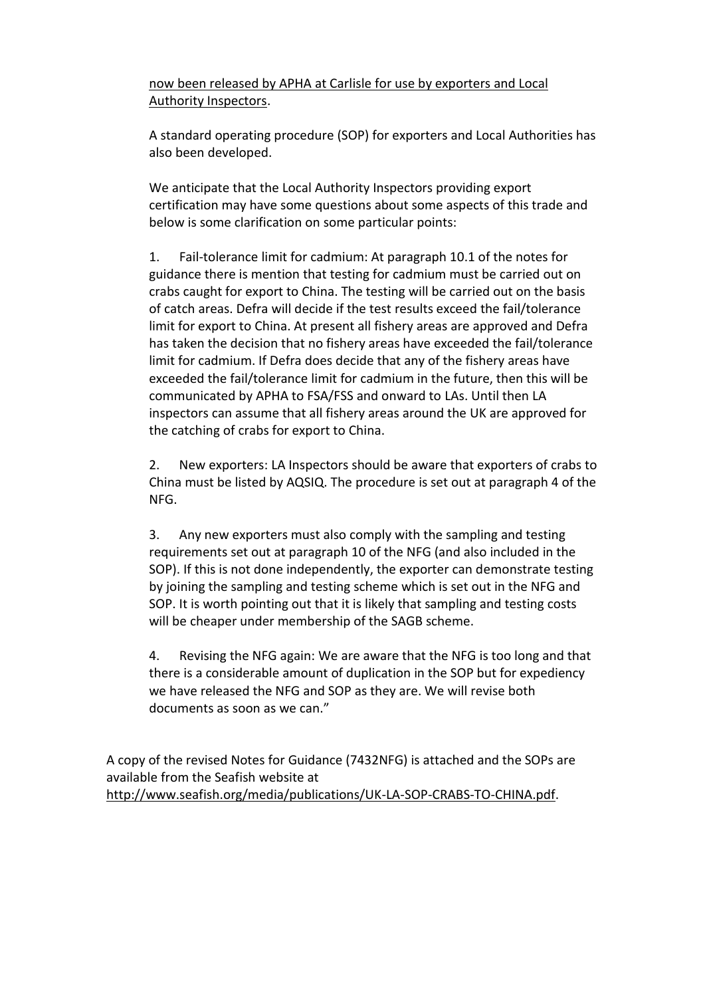now been released by APHA at Carlisle for use by exporters and Local Authority Inspectors.

A standard operating procedure (SOP) for exporters and Local Authorities has also been developed.

We anticipate that the Local Authority Inspectors providing export certification may have some questions about some aspects of this trade and below is some clarification on some particular points:

1. Fail-tolerance limit for cadmium: At paragraph 10.1 of the notes for guidance there is mention that testing for cadmium must be carried out on crabs caught for export to China. The testing will be carried out on the basis of catch areas. Defra will decide if the test results exceed the fail/tolerance limit for export to China. At present all fishery areas are approved and Defra has taken the decision that no fishery areas have exceeded the fail/tolerance limit for cadmium. If Defra does decide that any of the fishery areas have exceeded the fail/tolerance limit for cadmium in the future, then this will be communicated by APHA to FSA/FSS and onward to LAs. Until then LA inspectors can assume that all fishery areas around the UK are approved for the catching of crabs for export to China.

2. New exporters: LA Inspectors should be aware that exporters of crabs to China must be listed by AQSIQ. The procedure is set out at paragraph 4 of the NFG.

3. Any new exporters must also comply with the sampling and testing requirements set out at paragraph 10 of the NFG (and also included in the SOP). If this is not done independently, the exporter can demonstrate testing by joining the sampling and testing scheme which is set out in the NFG and SOP. It is worth pointing out that it is likely that sampling and testing costs will be cheaper under membership of the SAGB scheme.

4. Revising the NFG again: We are aware that the NFG is too long and that there is a considerable amount of duplication in the SOP but for expediency we have released the NFG and SOP as they are. We will revise both documents as soon as we can."

A copy of the revised Notes for Guidance (7432NFG) is attached and the SOPs are available from the Seafish website at [http://www.seafish.org/media/publications/UK-LA-SOP-CRABS-TO-CHINA.pdf.](http://www.seafish.org/media/publications/UK-LA-SOP-CRABS-TO-CHINA.pdf)